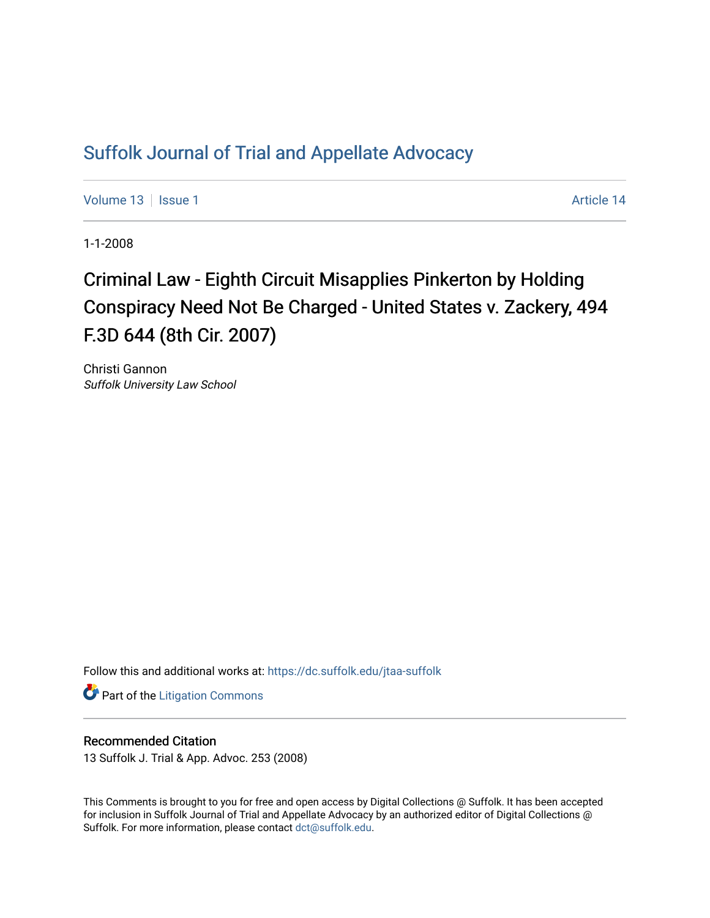## [Suffolk Journal of Trial and Appellate Advocacy](https://dc.suffolk.edu/jtaa-suffolk)

[Volume 13](https://dc.suffolk.edu/jtaa-suffolk/vol13) | [Issue 1](https://dc.suffolk.edu/jtaa-suffolk/vol13/iss1) Article 14

1-1-2008

# Criminal Law - Eighth Circuit Misapplies Pinkerton by Holding Conspiracy Need Not Be Charged - United States v. Zackery, 494 F.3D 644 (8th Cir. 2007)

Christi Gannon Suffolk University Law School

Follow this and additional works at: [https://dc.suffolk.edu/jtaa-suffolk](https://dc.suffolk.edu/jtaa-suffolk?utm_source=dc.suffolk.edu%2Fjtaa-suffolk%2Fvol13%2Fiss1%2F14&utm_medium=PDF&utm_campaign=PDFCoverPages) 

**Part of the [Litigation Commons](https://network.bepress.com/hgg/discipline/910?utm_source=dc.suffolk.edu%2Fjtaa-suffolk%2Fvol13%2Fiss1%2F14&utm_medium=PDF&utm_campaign=PDFCoverPages)** 

### Recommended Citation

13 Suffolk J. Trial & App. Advoc. 253 (2008)

This Comments is brought to you for free and open access by Digital Collections @ Suffolk. It has been accepted for inclusion in Suffolk Journal of Trial and Appellate Advocacy by an authorized editor of Digital Collections @ Suffolk. For more information, please contact [dct@suffolk.edu.](mailto:dct@suffolk.edu)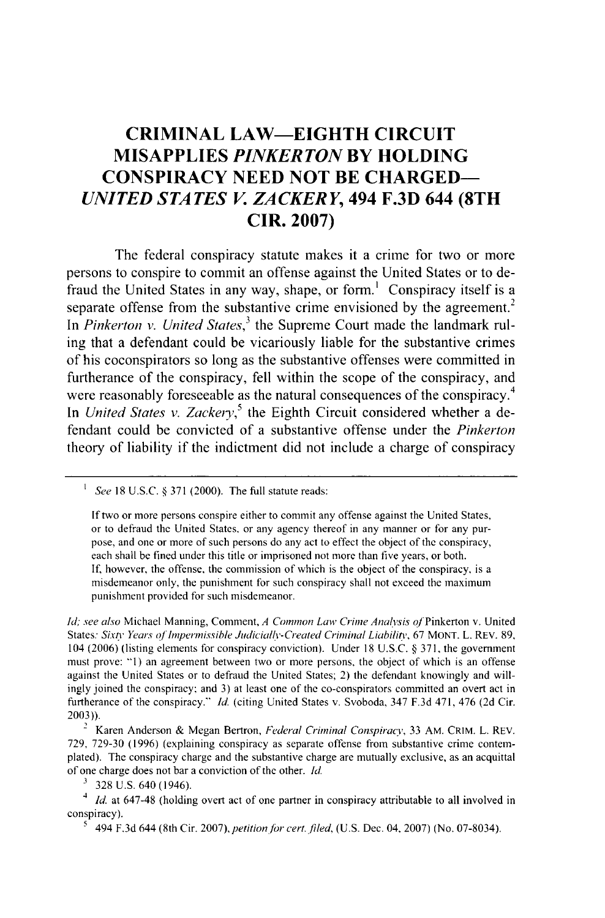### **CRIMINAL LAW-EIGHTH CIRCUIT MISAPPLIES** *PINKERTON* **BY HOLDING CONSPIRACY NEED NOT BE CHARGED-***UNITED STATES V. ZA CKER Y,* **494 F.3D 644 (8TH CIR. 2007)**

The federal conspiracy statute makes it a crime for two or more persons to conspire to commit an offense against the United States or to defraud the United States in any way, shape, or form.' Conspiracy itself is a separate offense from the substantive crime envisioned by the agreement.<sup>2</sup> In *Pinkerton v. United States,<sup>3</sup>*the Supreme Court made the landmark ruling that a defendant could be vicariously liable for the substantive crimes of his coconspirators so long as the substantive offenses were committed in furtherance of the conspiracy, fell within the scope of the conspiracy, and were reasonably foreseeable as the natural consequences of the conspiracy.<sup>4</sup> In *United States v. Zackery*,<sup>5</sup> the Eighth Circuit considered whether a defendant could be convicted of a substantive offense under the *Pinkerton* theory of liability if the indictment did not include a charge of conspiracy

*.See* **18** U.S.C. § 371 (2000). The full statute reads:

If two or more persons conspire either to commit any offense against the United States, or to defraud the United States, or any agency thereof in any manner or for any purpose, and one or more of such persons do any act to effect the object of the conspiracy, each shall be fined under this title or imprisoned not more than five years, or both. If, however, the offense, the commission of which is the object of the conspiracy, is a misdemeanor only, the punishment for such conspiracy shall not exceed the maximum punishment provided for such misdemeanor.

*Id; see also* Michael Manning, Comment, *A Common Law Crime Analisis of* Pinkerton v. United States: *Sixv ' Years fImpermissible Judicially-Created Criminal Liabilit,,* 67 MONT. L. REV. 89, 104 (2006) (listing elements for conspiracy conviction). Under 18 U.S.C. § 371, the government must prove: **-1)** an agreement between two or more persons, the object of which is an offense against the United States or to defraud the United States; 2) the defendant knowingly and willingly joined the conspiracy; and 3) at least one of the co-conspirators committed an overt act in furtherance of the conspiracy." *Id.* (citing United States v. Svoboda, 347 F.3d 471, 476 (2d Cir. **2003)).**

<sup>2</sup> Karen Anderson & Megan Bertron, *Federal Criminal Conspiracy*, 33 AM. CRIM. L. REV. 729, 729-30 (1996) (explaining conspiracy as separate offense from substantive crime contemplated). The conspiracy charge and the substantive charge are mutually exclusive, as an acquittal of one charge does not bar a conviction of the other. *Id.*

 $3$  328 U.S. 640 (1946).

*4 Id.* at 647-48 (holding overt act of one partner in conspiracy attributable to all involved in conspiracy).

**<sup>&#</sup>x27;** 494 F.3d 644 (8th Cir. 2007), *petition for cert. filed,* (U.S. Dec. 04, 2007) (No. 07-8034).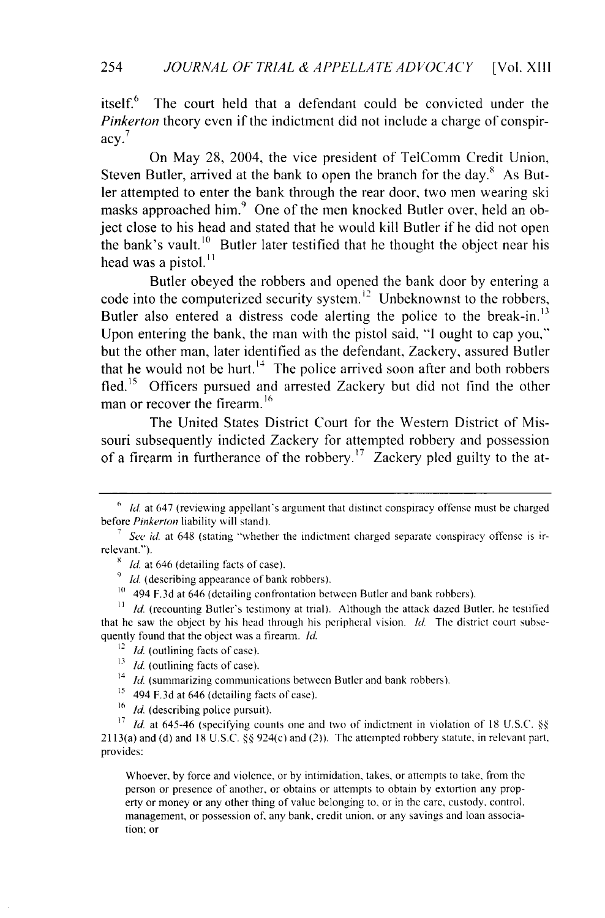itself.<sup>6</sup> The court held that a defendant could be convicted under the *Pinkerton* theory even if the indictment **did** not include a charge of conspir-**7** acy.

On May **28,** 2004, the vice president of TelComm Credit Union, Steven Butler, arrived at the bank to open the branch for the day.<sup>8</sup> As Butler attempted to enter the bank through the rear door, two men wearing ski masks approached him.<sup>9</sup> One of the men knocked Butler over, held an object close to his head and stated that he would **kill** Butler if he did not open the bank's vault.<sup>10</sup> Butler later testified that he thought the object near his head was a pistol.''

Butler obeyed the robbers and opened the bank door **by** entering a code into the computerized security system.<sup>12</sup> Unbeknownst to the robbers, Butler also entered a distress code alerting the police to the break-in.<sup>13</sup> Upon entering the bank, the man with the pistol said, **"I** ought to cap you," but the other man, later identified as the defendant, Zackery, assured Butler that he would not be hurt.<sup>14</sup> The police arrived soon after and both robbers fled. <sup>1</sup>5 Officers pursued and arrested Zackery but **did** not find the other man or recover the firearm.<sup>16</sup>

The United States District Court for the Western District of Missouri subsequently indicted Zackery for attempted robbery and possession of a firearm in furtherance of the robbery.<sup>17</sup> Zackery pled guilty to the at-

- <sup>12</sup> *Id.* (outlining facts of case).
- <sup>13</sup> *h.* (outlining facts of case).
- <sup>14</sup> *Id.* (summarizing communications between Butler and bank robbers).
- *15* 494 **F.3d** at 646 (detailing facts of case).
- <sup>16</sup> *Id.* (describing police pursuit).

Whoever, **by** force and violence, or **by** intimidation, takes, or attempts to take, from the person or presence of another, or obtains or attempts to obtain **by** extortion any property or money or any other thing of value belonging *to,* or in the care, custody. control, management, or possession of, any bank, credit union, or any savings and loan association; or

**<sup>6</sup>***Id.* at 647 (reviewing appellant's argument that distinct conspiracy offense **must** be charged before Pinkerton liability will stand).

*<sup>7</sup>See* **id.** at 648 (stating "whether the indictment charged separate conspiracy offense **is** irrelevant.").

<sup>&</sup>lt;sup>8</sup> *Id.* at 646 (detailing facts of case).

<sup>&</sup>lt;sup>9</sup> *Id.* (describing appearance of bank robbers).

**<sup>10 494</sup> F.3d** at 646 (detailing confrontation between Butler and bank robbers).

<sup>&</sup>lt;sup>11</sup> *Id.* (recounting Butler's testimony at trial). Although the attack dazed Butler, he testified that **he** saw the object **by** his head through his peripheral vision. *d.* The district court subsequently found that the object was a firearm. *d.*

*<sup>17</sup> Id.* at 645-46 (specifying counts one and two of indictment in violation **of 18 U.S.C. §§** 2113(a) and **(d)** and **18 U.S.C. §§** 924(c) and (2)). The attempted robbery statute, in relevant part, provides: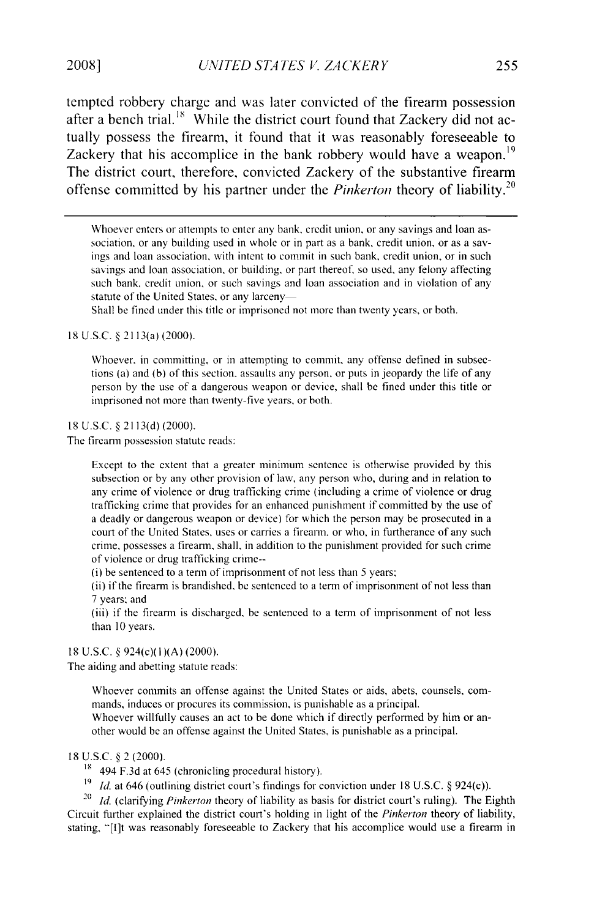tempted robbery charge and was later convicted of the firearm possession after a bench trial.<sup>18</sup> While the district court found that Zackery did not actually possess the firearm, it found that it was reasonably foreseeable to Zackery that his accomplice in the bank robbery would have a weapon.<sup>19</sup> The district court, therefore, convicted Zackery of the substantive firearm offense committed by his partner under the *Pinkerton* theory of liability.<sup>20</sup>

Whoever enters or attempts to enter any bank, credit union, or any savings and loan association, or any building used in whole or in part as a bank, credit union, or as a savings and loan association, with intent to commit in such bank, credit union, or in such savings and loan association, or building, or part thereof, so used, any felony affecting such bank, credit union, or such savings and loan association and in violation of any statute of the United States, or any larceny

Shall be fined under this title or imprisoned not more than twenty years, or both.

18 U.S.C. **§** 2113(a) (2000).

Whoever, in committing, or in attempting to commit, any offense defined in subsections (a) and (b) of this section. assaults any person, or puts in jeopardy the life of any person by the use of a dangerous weapon or device, shall be fined under this title or imprisoned not more than twenty-five years, or both.

18 U.S.C. § 2113(d) (2000).

The firearm possession statute reads:

Except to the extent that a greater minimurn sentence is otherwise provided by this subsection or by any other provision of law, any person who, during and in relation to any crime of violence or drug trafficking crime (including a crime of violence or drug trafficking crime that provides for an enhanced punishment if committed by the use of a deadly or dangerous weapon or device) for which the person may be prosecuted in a court of the United States, uses or carries a firearm. or who, in furtherance of any such crime, possesses a firearm, shall, in addition to the punishment provided for such crime of violence or drug trafficking crime--

(i) be sentenced to a term of imprisonment of not less than 5 years

(ii) if the firearm is brandished, be sentenced to a tern of imprisonment of not less than 7 years, and

(iii) if the firearm is discharged, be sentenced to a term of imprisonment of not less than 10 years.

#### 18 U.S.C. § 924(c)( **I** )(A) (2000).

The aiding and abetting statute reads:

Whoever commits an offense against the United States or aids, abets, counsels, commands, induces or procures its commission, is punishable as a principal.

Whoever willfully causes an act to be done which if directly performed by him or another would be an offense against the United States, is punishable as a principal.

#### 18 U.S.C. § 2 (2000).

<sup>18</sup> 494 F.3d at 645 (chronicling procedural history).

<sup>19</sup> *Id.* at 646 (outlining district court's findings for conviction under 18 U.S.C. § 924(c)).

<sup>20</sup>*Id.* (clarifying *Pinkerton* theory of liability as basis for district court's ruling). The Eighth Circuit further explained the district court's holding in light of the *Pinkerton* theory of liability, stating, "[I]t was reasonably foreseeable to Zackery that his accomplice would use a firearm in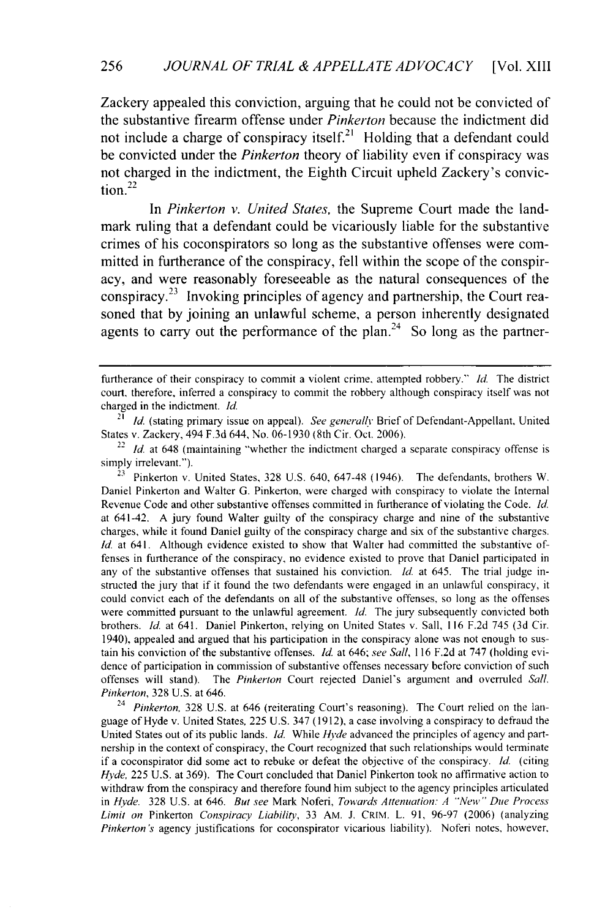Zackery appealed this conviction, arguing that he could not be convicted of the substantive firearm offense under *Pinkerton* because the indictment did not include a charge of conspiracy itself.<sup>21</sup> Holding that a defendant could be convicted under the *Pinkerton* theory of liability even if conspiracy was not charged in the indictment, the Eighth Circuit upheld Zackery's conviction.<sup>22</sup>

In *Pinkerton v. United States,* the Supreme Court made the landmark ruling that a defendant could be vicariously liable for the substantive crimes of his coconspirators so long as the substantive offenses were committed in furtherance of the conspiracy, fell within the scope of the conspiracy, and were reasonably foreseeable as the natural consequences of the conspiracy.<sup>23</sup> Invoking principles of agency and partnership, the Court reasoned that by joining an unlawful scheme, a person inherently designated agents to carry out the performance of the plan.<sup>24</sup> So long as the partner-

<sup>23</sup> Pinkerton v. United States, 328 U.S. 640, 647-48 (1946). The defendants, brothers W. Daniel Pinkerton and Walter **G.** Pinkerton, were charged with conspiracy to violate the Internal Revenue Code and other substantive offenses committed in furtherance of violating the Code. *Id.* at 641-42. A jury found Walter guilty of the conspiracy charge and nine of the substantive charges, while it found Daniel guilty of the conspiracy charge and six of the substantive charges. *Id.* at 641. Although evidence existed to show that Walter had committed the substantive offenses in furtherance of the conspiracy, no evidence existed to prove that Daniel participated in any of the substantive offenses that sustained his conviction. *Id.* at 645. The trial judge instructed the jury that if it found the two defendants were engaged in an unlawful conspiracy, it could convict each of the defendants on all of the substantive offenses, so long as the offenses were committed pursuant to the unlawful agreement. *Id.* The jury subsequently convicted both brothers. *Id.* at 641. Daniel Pinkerton, relying on United States v. Sail, 116 F.2d 745 (3d Cir. 1940), appealed and argued that his participation in the conspiracy alone was not enough to sustain his conviction of the substantive offenses. *Id.* at 646 *see Sail,* 116 F.2d at 747 (holding evidence of participation in commission of substantive offenses necessary before conviction of such offenses will stand). The *Pinkerton* Court rejected Daniel's argument and overruled *Sall. Pinkerton,* 328 U.S. at 646.

<sup>24</sup> *Pinkerton*, 328 U.S. at 646 (reiterating Court's reasoning). The Court relied on the language of Hyde v. United States, 225 U.S. 347 (1912), a case involving a conspiracy to defraud the United States out of its public lands. *Id.* While *Hyde* advanced the principles of agency and partnership in the context of conspiracy, the Court recognized that such relationships would terminate if a coconspirator did some act to rebuke or defeat the objective of the conspiracy. *Id* (citing *Hyde,* 225 U.S. at 369). The Court concluded that Daniel Pinkerton took no affirmative action to withdraw from the conspiracy and therefore found him subject to the agency principles articulated in *Hyde.* 328 U.S. at 646. *But see* Mark Noferi, *Towards Attenuation: A "New" Due Process Limit on* Pinkerton *Conspiracy Liability,* 33 AM. J. CRiM. L. 91, 96-97 (2006) (analyzing *Pinkerton's* agency justifications for coconspirator vicarious liability). Noferi notes, however,

furtherance of their conspiracy to commit a violent crime, attempted robbery." *Id.* The district court, therefore, inferred a conspiracy to commit the robbery although conspiracy itself was not charged in the indictment. *Id.*

*<sup>21</sup> Id* (stating primary issue on appeal). *See generalv* Brief of Defendant-Appellant, United States v. Zackery, 494 F.3d 644, No. 06-1930 (8th Cir. Oct. 2006).

<sup>&</sup>lt;sup>22</sup> *Id.* at 648 (maintaining "whether the indictment charged a separate conspiracy offense is simply irrelevant.").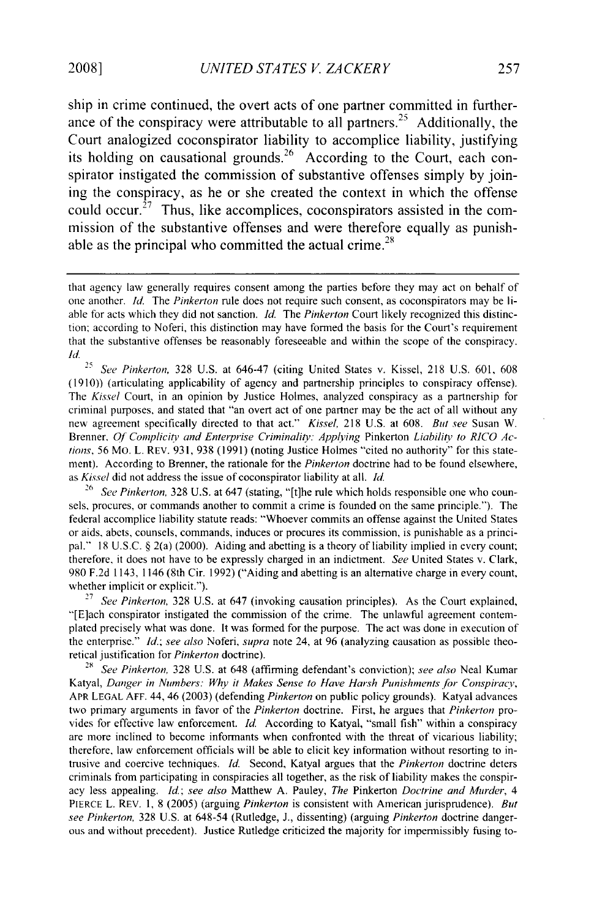ship in crime continued, the overt acts of one partner committed in furtherance of the conspiracy were attributable to all partners.<sup>25</sup> Additionally, the Court analogized coconspirator liability to accomplice liability, justifying its holding on causational grounds.<sup>26</sup> According to the Court, each conspirator instigated the commission of substantive offenses simply by joining the conspiracy, as he or she created the context in which the offense could occur.<sup>27</sup> Thus, like accomplices, coconspirators assisted in the commission of the substantive offenses and were therefore equally as punishable as the principal who committed the actual crime.<sup>28</sup>

**<sup>25</sup>***See Pinkerton,* 328 U.S. at 646-47 (citing United States v. Kissel, 218 U.S. 601, 608 (1910)) (articulating applicability of agency and partnership principles to conspiracy offense). The *Kissel* Court, in an opinion by Justice Holmes, analyzed conspiracy as a partnership for criminal purposes, and stated that "an overt act of one partner may be the act of all without any new agreement specifically directed to that act." *Kissel,* 218 U.S. at 608. *But see* Susan W. Brenner, *Of Complicity and Enterprise Criminality: Applying* Pinkerton *Liability to RICO Actions,* 56 Mo. L. REV. 931, 938 (1991) (noting Justice Holmes "cited no authority" for this statement). According to Brenner, the rationale for the *Pinkerton* doctrine had to be found elsewhere, as *Kissel* did not address the issue of coconspirator liability at all. *Id.* 

*26 See Pinkerton,* 328 U.S. at 647 (stating, "[t]he rule which holds responsible one who counsels, procures, or commands another to commit a crime is founded on the same principle."). The federal accomplice liability statute reads: "Whoever commits an offense against the United States or aids, abets, counsels, commands, induces or procures its commission, is punishable as a principal." 18 U.S.C. § 2(a) (2000). Aiding and abetting is a theory of liability implied in every count; therefore, it does not have to be expressly charged in an indictment. *See* United States v. Clark, 980 F.2d 1143, 1146 (8th Cir. 1992) ("Aiding and abetting is an alternative charge in every count, whether implicit or explicit.").

**<sup>27</sup>***See Pinkerton,* 328 U.S. at 647 (invoking causation principles). As the Court explained, "[Elach conspirator instigated the commission of the crime. The unlawful agreement contemplated precisely what was done. It was formed for the purpose. The act was done in execution of the enterprise." *Id.; see also* Noferi, *supra* note 24, at 96 (analyzing causation as possible theoretical justification for *Pinkerton* doctrine).

**<sup>28</sup>***See Pinkerton,* 328 U.S. at 648 (affirming defendant's conviction); *see also* Neal Kumar Katyal, *Danger in Numbers: Why it Makes Sense to Have Harsh Punishments for Conspiracy,* APR LEGAL AFF. 44, 46 (2003) (defending *Pinkerton* on public policy grounds). Katyal advances two primary arguments in favor of the *Pinkerton* doctrine. First, he argues that *Pinkerton* provides for effective law enforcement. *Id.* According to Katyal, "small fish" within a conspiracy are more inclined to become informants when confronted with the threat of vicarious liability; therefore, law enforcement officials will be able to elicit key information without resorting to intrusive and coercive techniques. *Id.* Second, Katyal argues that the *Pinkerton* doctrine deters criminals from participating in conspiracies all together, as the risk of liability makes the conspiracy less appealing. *Id; see also* Matthew A. Pauley, *The* Pinkerton *Doctrine and Murder, 4* PIERCE L. REV. 1, 8 (2005) (arguing *Pinkerton* is consistent with American jurisprudence). *But see Pinkerton.* 328 U.S. at 648-54 (Rutledge, J., dissenting) (arguing *Pinkerton* doctrine dangerous and without precedent). Justice Rutledge criticized the majority for impermissibly fusing to-

that agency law generally requires consent among the parties before they may act on behalf of one another. *Id.* The *Pinkerton* rule does not require such consent, as coconspirators may be liable for acts which they did not sanction. *Id.* The *Pinkerton* Court likely recognized this distinction; according to Noferi, this distinction may have formed the basis for the Court's requirement that the substantive offenses be reasonably foreseeable and within the scope of the conspiracy. *Id.*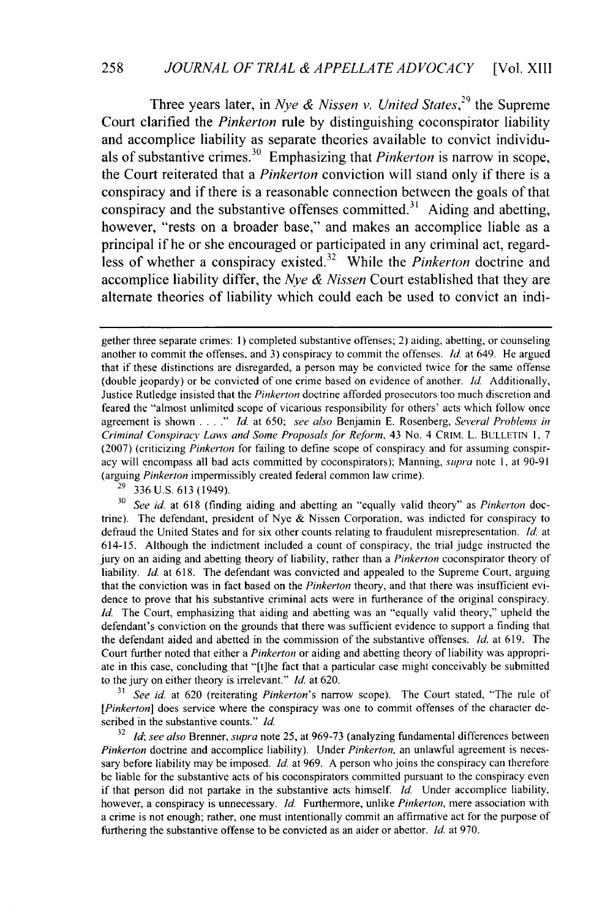Three years later, in *Nye & Nissen v. United States,<sup>29</sup>*the Supreme Court clarified the *Pinkerton* rule by distinguishing coconspirator liability and accomplice liability as separate theories available to convict individuals of substantive crimes. **<sup>3</sup> 0** Emphasizing that *Pinkerton* is narrow in scope, the Court reiterated that a *Pinkerton* conviction will stand only if there is a conspiracy and if there is a reasonable connection between the goals of that conspiracy and the substantive offenses committed.<sup>31</sup> Aiding and abetting however, "rests on a broader base," and makes an accomplice liable as a principal if he or she encouraged or participated in any criminal act, regardless of whether a conspiracy existed.<sup>32</sup>While the *Pinkerton* doctrine and accomplice liability differ, the *Nye & Nissen* Court established that they are alternate theories of liability which could each be used to convict an indi-

29 336 U.S. 613 (1949).

*30 See id.* at 618 (finding aiding and abetting an "equally valid theory" as *Pinkerton* doctrine). The defendant, president of Nye & Nissen Corporation, was indicted for conspiracy to defraud the United States and for six other counts relating to fraudulent misrepresentation. *Id.* at 614-15. Although the indictment included a count of conspiracy, the trial judge instructed the jury on an aiding and abetting theory of liability, rather than a *Pinkerton* coconspirator theory of liability. *Id.* at 618. The defendant was convicted and appealed to the Supreme Court, arguing that the conviction was in fact based on the *Pinkerton* theory, and that there was insufficient evidence to prove that his substantive criminal acts were in furtherance of the original conspiracy. *Id.* The Court, emphasizing that aiding and abetting was an "equally valid theory," upheld the defendant's conviction on the grounds that there was sufficient evidence to support a finding that the defendant aided and abetted in the commission of the substantive offenses. *Id.* at 619. The Court further noted that either a *Pinkerton* or aiding and abetting theory of liability was appropriate in this case, concluding that "[t]he fact that a particular case might conceivably be submitted to the jury on either theory is irrelevant." *Id.* at 620.

<sup>31</sup> *See id.* at 620 (reiterating *Pinkerton's* narrow scope). The Court stated, "The rule of [*Pinkerton*] does service where the conspiracy was one to commit offenses of the character described in the substantive counts." *Id.*

*<sup>32</sup>Id; see also* Brenner, *supra* note 25, at 969-73 (analyzing fundamental differences between *Pinkerton* doctrine and accomplice liability). Under *Pinkerton,* an unlawful agreement is necessary before liability may be imposed. *Id.* at 969. A person who joins the conspiracy can therefore be liable for the substantive acts of his coconspirators committed pursuant to the conspiracy even if that person did not partake in the substantive acts himself. *Id.* Under accomplice liability, however, a conspiracy is unnecessary. *Id.* Furthermore, unlike *Pinkerton,* mere association with a crime is not enough; rather, one must intentionally commit an affirmative act for the purpose of furthering the substantive offense to be convicted as an aider or abettor. *Id.* at 970.

gether three separate crimes: **1)** completed substantive offenses; 2) aiding, abetting, or counseling another to commit the offenses, and 3) conspiracy to commit the offenses. *Id.* at 649. He argued that if these distinctions are disregarded, a person may be convicted twice for the same offense (double jeopardy) or be convicted of one crime based on evidence of another. *Id.* Additionally, Justice Rutledge insisted that the *Pinkerton* doctrine afforded prosecutors too much discretion and feared the "almost unlimited scope of vicarious responsibility for others' acts which follow once agreement is shown *.... " Id.* at 650; *see also* Benjamin E. Rosenberg, *Several Problems in Criminal Conspiracy Laws and Some Proposals.for Reform,* 43 No. 4 CRIM. L. BULLETIN **1,** 7 (2007) (criticizing *Pinkerton* for failing to define scope of conspiracy and for assuming conspiracy will encompass all bad acts committed by coconspirators); Manning, *supra* note **1,** at 90-91 (arguing *Pinkerton* impermissibly created federal common law crime).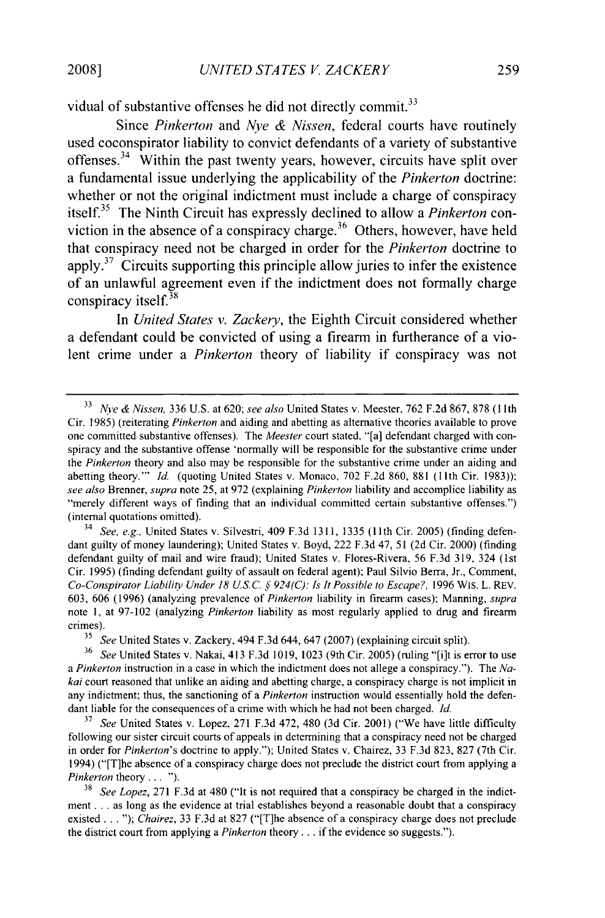vidual of substantive offenses he did not directly commit.<sup>33</sup>

Since *Pinkerton* and *Nye & Nissen,* federal courts have routinely used coconspirator liability to convict defendants of a variety of substantive offenses.<sup>34</sup> Within the past twenty years, however, circuits have split over a fundamental issue underlying the applicability of the *Pinkerton* doctrine: whether or not the original indictment must include a charge of conspiracy itself.<sup>35</sup> The Ninth Circuit has expressly declined to allow a *Pinkerton* conviction in the absence of a conspiracy charge.<sup>36</sup> Others, however, have held that conspiracy need not be charged in order for the *Pinkerton* doctrine to apply. $37$  Circuits supporting this principle allow juries to infer the existence of an unlawful agreement even if the indictment does not formally charge conspiracy itself. $38$ 

In *United States v. Zackery,* the Eighth Circuit considered whether a defendant could be convicted of using a firearm in furtherance of a violent crime under a *Pinkerton* theory of liability if conspiracy was not

*34* See, e.g., United States v. Silvestri, 409 F.3d 1311, 1335 (11th Cir. 2005) (finding defendant guilty of money laundering); United States v. Boyd, 222 F.3d 47, 51 (2d Cir. 2000) (finding defendant guilty of mail and wire fraud); United States v. Flores-Rivera, 56 F.3d 319, 324 (lst Cir. 1995) (finding defendant guilty of assault on federal agent); Paul Silvio Berra, Jr., Comment, Co-Conspirator Liability Under 18 *U.S.C. §* 924(Q): *Is It* Possible *to Escape?,* 1996 WIS. L. REV. 603, 606 (1996) (analyzing prevalence of Pinkerton liability in firearm cases); Manning, *supra* note **1,** at 97-102 (analyzing Pinkerton liability as most regularly applied to drug and firearm crimes).

**<sup>35</sup>**See United States v. Zackery, 494 F.3d 644, 647 (2007) (explaining circuit split).

<sup>36</sup> See United States v. Nakai, 413 F.3d 1019, 1023 (9th Cir. 2005) (ruling "[i]t is error to use *a* Pinkerton instruction in a case in which the indictment does not allege a conspiracy."). The *Na*kai court reasoned that unlike an aiding and abetting charge, a conspiracy charge is not implicit in any indictment; thus, the sanctioning of a *Pinkerton* instruction would essentially hold the defendant liable for the consequences of a crime with which he had not been charged. *Id.*

**<sup>37</sup>***See* United States v. Lopez, 271 F.3d 472, 480 (3d Cir. 2001) ("We have little difficulty following our sister circuit courts of appeals in determining that a conspiracy need not be charged in order for *Pinkerton's* doctrine to apply."); United States v. Chairez, 33 F.3d 823, 827 (7th Cir. 1994) ("[T]he absence of a conspiracy charge does not preclude the district court from applying a Pinkerton theory... **").**

<sup>38</sup> See Lopez, 271 F.3d at 480 ("It is not required that a conspiracy be charged in the indictment **...** as long as the evidence at trial establishes beyond a reasonable doubt that a conspiracy existed... *"); Chairez,* 33 F.3d at 827 ("[T]he absence of a conspiracy charge does not preclude the district court from applying a Pinkerton theory... if the evidence so suggests.").

**<sup>33</sup>**Nye **&** Nissen, 336 U.S. at 620; see also United States v. Meester, 762 F.2d 867, 878 (11 th Cir. 1985) (reiterating Pinkerton and aiding and abetting as alternative theories available to prove one committed substantive offenses). The Meester court stated, "[a] defendant charged with conspiracy and the substantive offense 'normally will be responsible for the substantive crime under the Pinkerton theory and also may be responsible for the substantive crime under an aiding and abetting theory."' *Id.* (quoting United States v. Monaco, 702 F.2d 860, 881 (11th Cir. 1983)); see also Brenner, supra note **25,** at 972 (explaining Pinkerton liability and accomplice liability as "merely different ways of finding that an individual committed certain substantive offenses.") (internal quotations omitted).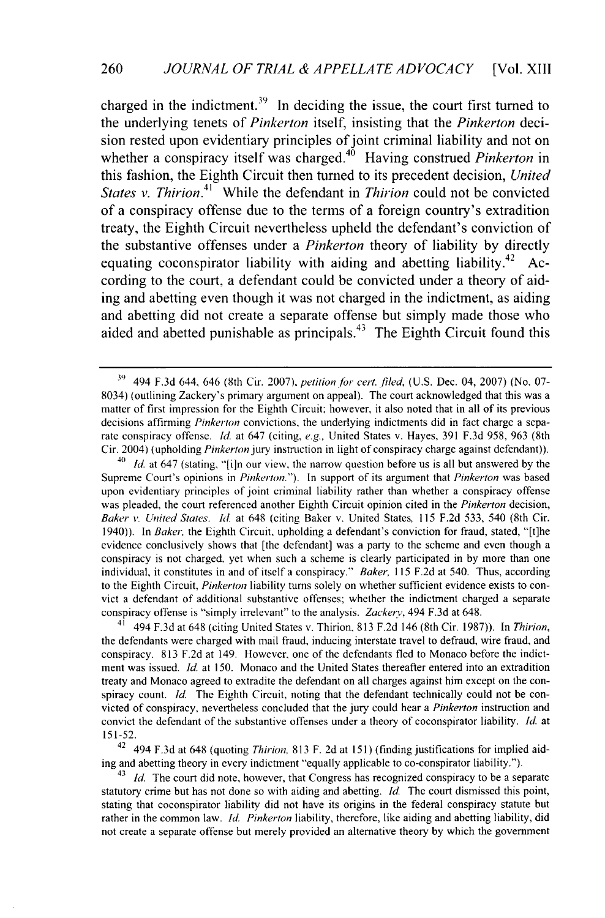charged in the indictment.<sup>39</sup> In deciding the issue, the court first turned to the underlying tenets of *Pinkerton* itself, insisting that the *Pinkerton* decision rested upon evidentiary principles of joint criminal liability and not on whether a conspiracy itself was charged.<sup>40</sup> Having construed *Pinkerton* in this fashion, the Eighth Circuit then turned to its precedent decision, *United States v. Thirion.*<sup>41</sup> While the defendant in *Thirion* could not be convicted of a conspiracy offense due to the terms of a foreign country's extradition treaty, the Eighth Circuit nevertheless upheld the defendant's conviction of the substantive offenses under a *Pinkerton* theory of liability by directly equating coconspirator liability with aiding and abetting liability.<sup>42</sup> According to the court, a defendant could be convicted under a theory of aiding and abetting even though it was not charged in the indictment, as aiding and abetting did not create a separate offense but simply made those who aided and abetted punishable as principals.<sup>43</sup> The Eighth Circuit found this

<sup>40</sup> *Id.* at 647 (stating, "[i]n our view, the narrow question before us is all but answered by the Supreme Court's opinions in *Pinkerton.").* In support of its argument that *Pinkerton* was based upon evidentiary principles of joint criminal liability rather than whether a conspiracy offense was pleaded, the court referenced another Eighth Circuit opinion cited in the Pinkerton decision, Baker *v. United States. I.* at 648 (citing Baker v. United States, 115 F.2d 533, 540 (8th Cir. 1940)). In Baker, the Eighth Circuit, upholding a defendant's conviction for fraud, stated, "[t]he evidence conclusively shows that [the defendant] was a party to the scheme and even though a conspiracy is not charged, yet when such a scheme is clearly participated in by more than one individual, it constitutes in and of itself a conspiracy." *Baker,* 115 F.2d at 540. Thus, according to the Eighth Circuit, *Pinkerton* liability turns solely on whether sufficient evidence exists to convict a defendant of additional substantive offenses; whether the indictment charged a separate conspiracy offense is "simply irrelevant" to the analysis. *Zackery,* 494 F.3d at 648.

41 494 F.3d at 648 (citing United States v. Thirion, 813 F.2d 146 (8th Cir. 1987)). In *Thirion,* the defendants were charged with mail fraud, inducing interstate travel to defraud, wire fraud, and conspiracy. 813 F.2d at 149. However, one of the defendants fled to Monaco before the indictment was issued. *Id.* at 150. Monaco and the United States thereafter entered into an extradition treaty and Monaco agreed to extradite the defendant on all charges against him except on the conspiracy count. *Id.* The Eighth Circuit, noting that the defendant technically could not be convicted of conspiracy, nevertheless concluded that the jury could hear a *Pinkerton* instruction and convict the defendant of the substantive offenses under a theory of coconspirator liability. *Id.* at 151-52.

**"** 494 F.3d at 648 (quoting *Thirion,* 813 F. 2d at 151) (finding justifications for implied aiding and abetting theory in every indictment "equally applicable to co-conspirator liability.").

<sup>43</sup> *Id.* The court did note, however, that Congress has recognized conspiracy to be a separate statutory crime but has not done so with aiding and abetting. *Id.* The court dismissed this point, stating that coconspirator liability did not have its origins in the federal conspiracy statute but rather in the common law. *Id. Pinkerton* liability, therefore, like aiding and abetting liability, did not create a separate offense but merely provided an alternative theory by which the government

**<sup>39</sup>**494 F.3d 644, 646 (8th Cir. 2007), *petition fbr cert. filed,* (U.S. Dec. 04, 2007) (No. 07- 8034) (outlining Zackery's primary argument on appeal). The court acknowledged that this was a matter of first impression for the Eighth Circuit; however, it also noted that in all of its previous decisions affirming *Pinkerton* convictions, the underlying indictments did in fact charge a separate conspiracy offense. *Id.* at 647 (citing, *e.g.,* United States v. Hayes, 391 F.3d 958, 963 (8th Cir. 2004) (upholding *Pinkerton* jury instruction in light of conspiracy charge against defendant)).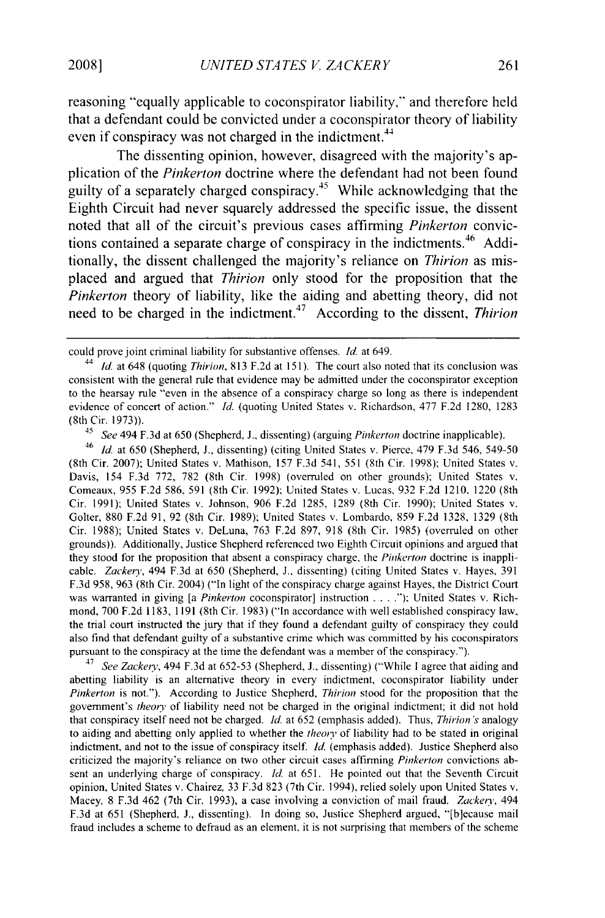reasoning "equally applicable to coconspirator liability," and therefore held that a defendant could be convicted under a coconspirator theory of liability even if conspiracy was not charged in the indictment.<sup>44</sup>

The dissenting opinion, however, disagreed with the majority's application of the *Pinkerton* doctrine where the defendant had not been found guilty of a separately charged conspiracy.<sup> $45$ </sup> While acknowledging that the Eighth Circuit had never squarely addressed the specific issue, the dissent noted that all of the circuit's previous cases affirming *Pinkerton* convictions contained a separate charge of conspiracy in the indictments.<sup>46</sup> Additionally, the dissent challenged the majority's reliance on *Thirion* as misplaced and argued that *Thirion* only stood for the proposition that the *Pinkerton* theory of liability, like the aiding and abetting theory, did not need to be charged in the indictment.<sup>47</sup> According to the dissent, *Thirion* 

<sup>45</sup> See 494 F.3d at 650 (Shepherd, J., dissenting) (arguing *Pinkerton* doctrine inapplicable).<br><sup>46</sup> *Id.* at 650 (Shepherd, J., dissenting) (citing Linited States v. Pierce, 479 F.3d 546, 549-

*Id.* at 650 (Shepherd, J., dissenting) (citing United States v. Pierce, 479 F.3d 546, 549-50 (8th Cir. 2007); United States v. Mathison, 157 F.3d 541, 551 (8th Cir. 1998); United States v. Davis, 154 F.3d 772, 782 (8th Cir. 1998) (overruled on other grounds); United States v. Comeaux, 955 F.2d 586, 591 (8th Cir. **1992),** United States v. Lucas, 932 F.2d 1210, 1220 (8th Cir. 1991); United States v. Johnson, 906 F.2d 1285, 1289 (8th Cir. 1990); United States v. Golter, 880 F.2d 91, 92 (8th Cir. 1989); United States v. Lombardo, 859 F.2d 1328, 1329 (8th Cir. 1988); United States v. DeLuna, 763 F.2d 897, 918 (8th Cir. 1985) (overruled on other grounds)). Additionally, Justice Shepherd referenced two Eighth Circuit opinions and argued that they stood for the proposition that absent a conspiracy charge, the *Pinkerton* doctrine is inapplicable. Zackery, 494 F.3d at 650 (Shepherd, J., dissenting) (citing United States v. Hayes, 391 F.3d 958, 963 (8th Cir. 2004) ("In light of the conspiracy charge against Hayes, the District Court was warranted in giving [a *Pinkerton* coconspirator] instruction ...."); United States v. Richmond, 700 F.2d 1183, 1191 (8th Cir. 1983) ("In accordance with well established conspiracy law, the trial court instructed the jury that if they found a defendant guilty of conspiracy they could also find that defendant guilty of a substantive crime which was committed by his coconspirators pursuant to the conspiracy at the time the defendant was a member of the conspiracy.").

<sup>47</sup>*See Zackerv,* 494 F.3d at 652-53 (Shepherd, J., dissenting) ("While I agree that aiding and abetting liability is an alternative theory in every indictment, coconspirator liability under *Pinkerton* is not."). According to Justice Shepherd, *Thirion* stood for the proposition that the government's *theory* of liability need not be charged in the original indictment; it did not hold that conspiracy itself need not be charged. *Id.* at 652 (emphasis added). Thus, *Thirion's* analogy to aiding and abetting only applied to whether the *theory* of liability had to be stated in original indictment, and not to the issue of conspiracy itself. *Id.* (emphasis added). Justice Shepherd also criticized the majority's reliance on two other circuit cases affirming *Pinkerton* convictions absent an underlying charge of conspiracy. *Id.* at 651. He pointed out that the Seventh Circuit opinion, United States v. Chairez, 33 F.3d 823 (7th Cir. 1994), relied solely upon United States v. Macey, 8 F.3d 462 (7th Cir. 1993), a case involving a conviction of mail fraud. *Zacker,,* 494 F.3d at 651 (Shepherd, J., dissenting). In doing so, Justice Shepherd argued, "[b]ecause mail fraud includes a scheme to defraud as an element, it is not surprising that members of the scheme

could prove joint criminal liability for substantive offenses. *Id.* at 649.

*Id.* at 648 (quoting *Thirion*, 813 F.2d at 151). The court also noted that its conclusion was consistent with the general rule that evidence may be admitted under the coconspirator exception to the hearsay rule "even in the absence of a conspiracy charge so long as there is independent evidence of concert of action." *Id.* (quoting United States v. Richardson, 477 F.2d 1280, 1283 (8th Cir. 1973)).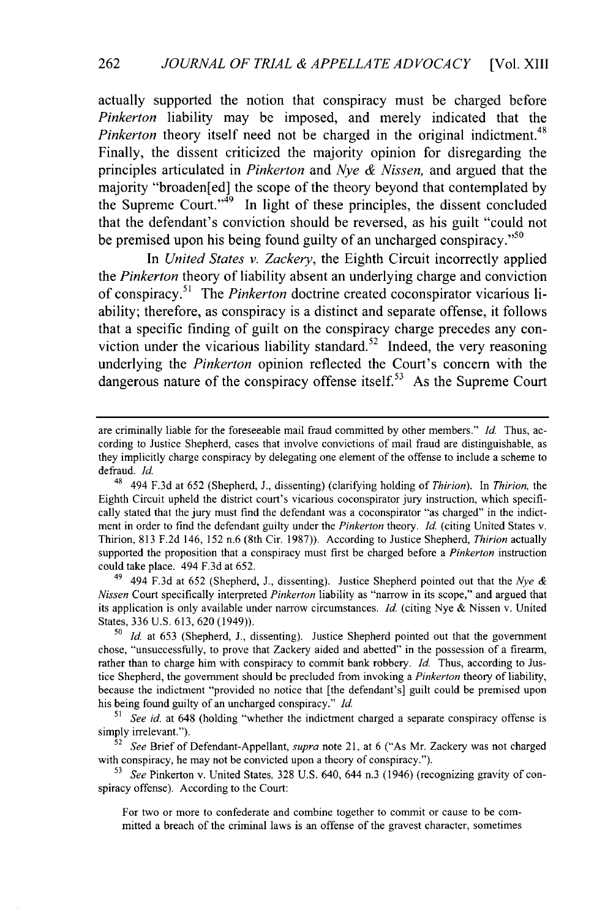actually supported the notion that conspiracy must be charged before *Pinkerton* liability may be imposed, and merely indicated that the *Pinkerton* theory itself need not be charged in the original indictment.<sup>48</sup> Finally, the dissent criticized the majority opinion for disregarding the principles articulated in *Pinkerton* and *Nye & Nissen,* and argued that the majority "broaden[ed] the scope of the theory beyond that contemplated by the Supreme Court." $49$  In light of these principles, the dissent concluded that the defendant's conviction should be reversed, as his guilt "could not be premised upon his being found guilty of an uncharged conspiracy."<sup>50</sup>

In *United States v. Zackery,* the Eighth Circuit incorrectly applied the *Pinkerton* theory of liability absent an underlying charge and conviction of conspiracy.<sup>51</sup> The *Pinkerton* doctrine created coconspirator vicarious liability; therefore, as conspiracy is a distinct and separate offense, it follows that a specific finding of guilt on the conspiracy charge precedes any conviction under the vicarious liability standard.<sup>52</sup> Indeed, the very reasoning underlying the *Pinkerton* opinion reflected the Court's concern with the dangerous nature of the conspiracy offense itself.<sup>53</sup> As the Supreme Court

49 494 F.3d at 652 (Shepherd, J., dissenting). Justice Shepherd pointed out that the *Nye & Nissen* Court specifically interpreted *Pinkerton* liability as "narrow in its scope," and argued that its application is only available under narrow circumstances. *Id.* (citing Nye & Nissen v. United States, 336 U.S. 613, 620 (1949)).

**50** Id. at 653 (Shepherd, J., dissenting). Justice Shepherd pointed out that the government chose, "unsuccessfully, to prove that Zackery aided and abetted" in the possession of a firearm, rather than to charge him with conspiracy to commit bank robbery. Id. Thus, according to Justice Shepherd, the government should be precluded from invoking a *Pinkerton* theory of liability, because the indictment "provided no notice that [the defendant's] guilt could be premised upon his being found guilty of an uncharged conspiracy." *Id.*

**<sup>51</sup>***See id.* at 648 (holding "whether the indictment charged a separate conspiracy offense is simply irrelevant.").

<sup>52</sup>*See* Brief of Defendant-Appellant, *supra* note 2 **1,** at 6 ("As Mr. Zackery was not charged with conspiracy, he may not be convicted upon a theory of conspiracy.").

**53** *See* Pinkerton v. United States, 328 U.S. 640, 644 n.3 (1946) (recognizing gravity of conspiracy offense). According to the Court:

For two or more to confederate and combine together to commit or cause to be committed a breach of the criminal laws is an offense of the gravest character, sometimes

are criminally liable for the foreseeable mail fraud committed by other members." *Id.* Thus, according to Justice Shepherd, cases that involve convictions of mail fraud are distinguishable, as they implicitly charge conspiracy by delegating one element of the offense to include a scheme to defraud. **Id.**

<sup>48</sup> 494 F.3d at 652 (Shepherd, J., dissenting) (clarifying holding of *Thirion).* In *Thirion,* the Eighth Circuit upheld the district court's vicarious coconspirator jury instruction, which specifically stated that the jury must find the defendant was a coconspirator "as charged" in the indictment in order to find the defendant guilty under the *Pinkerton* theory. *Id.* (citing United States v. Thirion, **813** F.2d 146, **152** n.6 (8th Cir. 1987)). According to Justice Shepherd, *Thirion* actually supported the proposition that a conspiracy must first be charged before a *Pinkerton* instruction could take place. 494 F.3d at 652.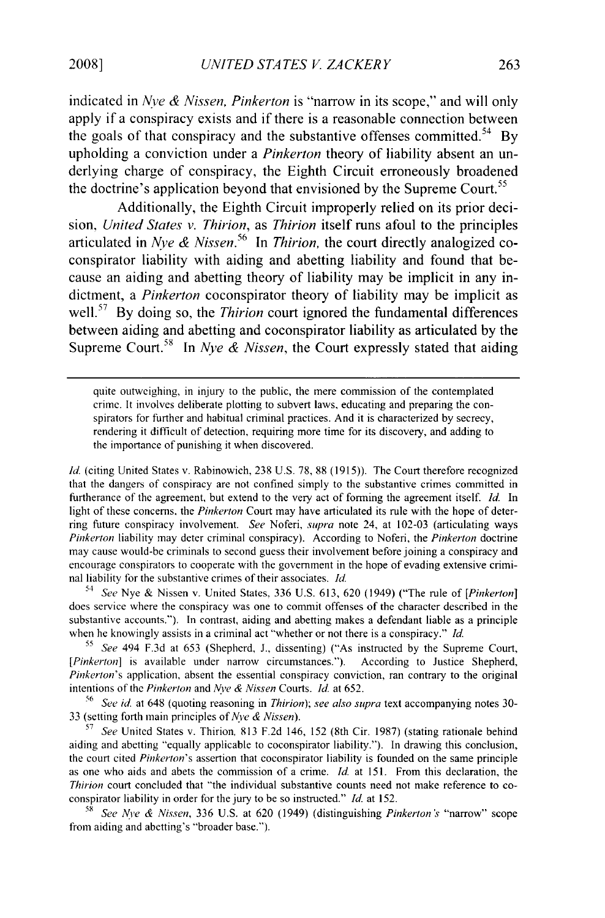indicated in *Nve & Nissen, Pinkerton* is "narrow in its scope," and will only apply if a conspiracy exists and if there is a reasonable connection between the goals of that conspiracy and the substantive offenses committed.<sup>54</sup> By upholding a conviction under a *Pinkerton* theory of liability absent an underlying charge of conspiracy, the Eighth Circuit erroneously broadened the doctrine's application beyond that envisioned by the Supreme Court.<sup>55</sup>

Additionally, the Eighth Circuit improperly relied on its prior decision, *United States v. Thirion,* as *Thirion* itself runs afoul to the principles articulated in *Nve & Nissen.<sup>56</sup>*In *Thirion,* the court directly analogized coconspirator liability with aiding and abetting liability and found that because an aiding and abetting theory of liability may be implicit in any indictment, a *Pinkerton* coconspirator theory of liability may be implicit as well.<sup>57</sup> By doing so, the *Thirion* court ignored the fundamental differences between aiding and abetting and coconspirator liability as articulated by the Supreme Court.<sup>58</sup> In *Nye & Nissen*, the Court expressly stated that aiding

quite outweighing, in injury to the public, the mere commission of the contemplated crime. It involves deliberate plotting to subvert laws, educating and preparing the conspirators for further and habitual criminal practices. And it is characterized by secrecy, rendering it difficult of detection, requiring more time for its discovery, and adding to the importance of punishing it when discovered.

*Id.* (citing United States v. Rabinowich, 238 U.S. 78, 88 (1915)). The Court therefore recognized that the dangers of conspiracy are not confined simply to the substantive crimes committed in furtherance of the agreement, but extend to the very act of forming the agreement itself. *Id.* In light of these concerns, the *Pinkerton* Court may have articulated its rule with the hope of deterring future conspiracy involvement. *See* Noferi, *supra* note 24, at 102-03 (articulating ways *Pinkerton* liability may deter criminal conspiracy). According to Noferi, the *Pinkerton* doctrine may cause would-be criminals to second guess their involvement before joining a conspiracy and encourage conspirators to cooperate with the government in the hope of evading extensive criminal liability for the substantive crimes of their associates. *Id.*

*54 See* Nye & Nissen v. United States, 336 U.S. 613, 620 (1949) ("The rule of *[Pinkerton]* does service where the conspiracy was one to commit offenses of the character described in the substantive accounts."). In contrast, aiding and abetting makes a defendant liable as a principle when he knowingly assists in a criminal act "whether or not there is a conspiracy." *Id.*

*55 See* 494 F.3d at 653 (Shepherd, J., dissenting) ("As instructed by the Supreme Court, [Pinkerton] is available under narrow circumstances."). According to Justice Shepherd, *Pinkerton's* application, absent the essential conspiracy conviction, ran contrary to the original intentions of the *Pinkerton* and *Nye & Nissen* Courts. *Id.* at 652.

**<sup>56</sup>***See id* at 648 (quoting reasoning in *Thirion); see also supra* text accompanying notes 30- 33 (setting forth main principles of *Nye & Nissen).*

*<sup>57</sup>See* United States v. Thirion, 813 F.2d 146, 152 (8th Cir. 1987) (stating rationale behind aiding and abetting "equally applicable to coconspirator liability."). In drawing this conclusion, the court cited *Pinkerton's* assertion that coconspirator liability is founded on the same principle as one who aids and abets the commission of a crime. *Id.* at 151. From this declaration, the *Thirion* court concluded that "the individual substantive counts need not make reference to coconspirator liability in order for the jury to be so instructed." *Id.* at 152.

**5s** *See Ntve & Nissen,* 336 U.S. at 620 (1949) (distinguishing *Pinkerton's* "narrow" scope from aiding and abetting's "broader base.").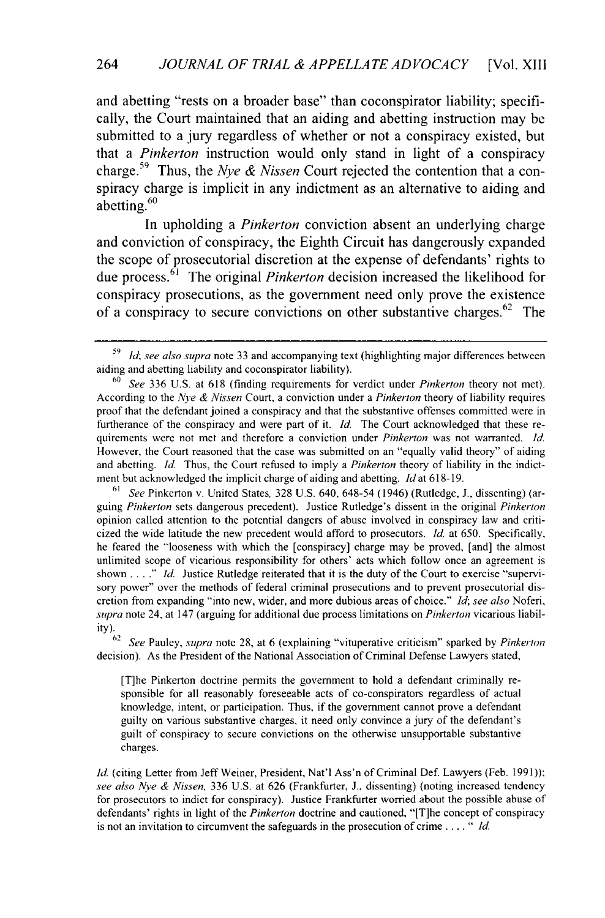and abetting "rests on a broader base" than coconspirator liability; specifically, the Court maintained that an aiding and abetting instruction may be submitted to a jury regardless of whether or not a conspiracy existed, but that a Pinkerton instruction would only stand in light of a conspiracy charge.59 Thus, the *Nye & Nissen* Court rejected the contention that a conspiracy charge is implicit in any indictment as an alternative to aiding and abetting. $60$ 

In upholding a *Pinkerton* conviction absent an underlying charge and conviction of conspiracy, the Eighth Circuit has dangerously expanded the scope of prosecutorial discretion at the expense of defendants' rights to due process.<sup>61</sup> The original *Pinkerton* decision increased the likelihood for conspiracy prosecutions, as the government need only prove the existence of a conspiracy to secure convictions on other substantive charges.<sup>62</sup> The

61 *See* Pinkerton v. United States, 328 U.S. 640, 648-54 (1946) (Rutledge, **J.,** dissenting) (arguing *Pinkerton* sets dangerous precedent). Justice Rutledge's dissent in the original *Pinkerton* opinion called attention to the potential dangers of abuse involved in conspiracy law and criticized the wide latitude the new precedent would afford to prosecutors. *Id* at 650. Specifically, he feared the "looseness with which the [conspiracy] charge may be proved, [and] the almost unlimited scope of vicarious responsibility for others' acts which follow once an agreement is shown **...."** Id. Justice Rutledge reiterated that it is the duty of the Court to exercise "supervisory power" over the methods of federal criminal prosecutions and to prevent prosecutorial discretion from expanding "into new, wider, and more dubious areas of choice." *Id; see also* Noferi, *supra* note 24, at 147 (arguing for additional due process limitations on *Pinkerton* vicarious liability).  $62$ 

<sup>62</sup>*See* Pauley, *supra* note 28, at 6 (explaining "vituperative criticism" sparked by *Pinkerton* decision). As the President of the National Association of Criminal Defense Lawyers stated,

[T]he Pinkerton doctrine permits the government to hold a defendant criminally responsible for all reasonably foreseeable acts of co-conspirators regardless of actual knowledge, intent, or participation. Thus, if the government cannot prove a defendant guilty on various substantive charges, it need only convince a jury of the defendant's guilt of conspiracy to secure convictions on the otherwise unsupportable substantive charges.

Id. (citing Letter from Jeff Weiner, President, Nat'l Ass'n of Criminal Def. Lawyers (Feb. 1991)); *see also Nve & Nissen,* 336 U.S. at 626 (Frankfurter, J., dissenting) (noting increased tendency for prosecutors to indict for conspiracy). Justice Frankfurter worried about the possible abuse of defendants' rights in light of the *Pinkerton* doctrine and cautioned, "[T]he concept of conspiracy is not an invitation to circumvent the safeguards in the prosecution of crime **.... "** *Id.*

**<sup>59</sup>**Id, *see also supra* note 33 and accompanying text (highlighting major differences between aiding and abetting liability and coconspirator liability).

<sup>&</sup>lt;sup>60</sup> See 336 U.S. at 618 (finding requirements for verdict under *Pinkerton* theory not met). According to the Nye *& Nissen* Court, a conviction under a *Pinkerton* theory of liability requires proof that the defendant joined a conspiracy and that the substantive offenses committed were in furtherance of the conspiracy and were part of it. *Id.* The Court acknowledged that these requirements were not met and therefore a conviction under *Pinkerton* was not warranted. *Id.* However, the Court reasoned that the case was submitted on an "equally valid theory" of aiding and abetting. *Id.* Thus, the Court refused to imply a *Pinkerton* theory of liability in the indictment but acknowledged the implicit charge of aiding and abetting. Id at 618-19.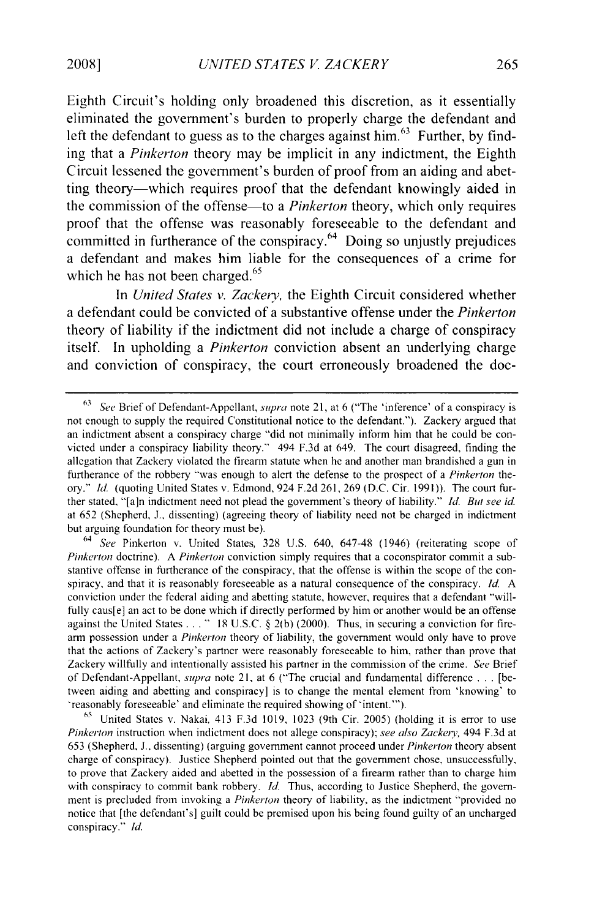Eighth Circuit's holding only broadened this discretion, as it essentially eliminated the government's burden to properly charge the defendant and left the defendant to guess as to the charges against  $\text{him.}^{63}$  Further, by finding that a *Pinkerton* theory may be implicit in any indictment, the Eighth Circuit lessened the government's burden of proof from an aiding and abetting theory-which requires proof that the defendant knowingly aided in the commission of the offense-to a *Pinkerton* theory, which only requires proof that the offense was reasonably foreseeable to the defendant and committed in furtherance of the conspiracy. $64$  Doing so unjustly prejudices a defendant and makes him liable for the consequences of a crime for which he has not been charged.<sup>65</sup>

In *United States v. Zackerv,* the Eighth Circuit considered whether a defendant could be convicted of a substantive offense under the *Pinkerton* theory of liability if the indictment did not include a charge of conspiracy itself. In upholding a *Pinkerton* conviction absent an underlying charge and conviction of conspiracy, the court erroneously broadened the doc-

*64 See* Pinkerton v. United States, 328 U.S. 640, 647-48 (1946) (reiterating scope of *Pinkerton* doctrine). A *Pinkerton* conviction simply requires that a coconspirator commit a substantive offense in furtherance of the conspiracy, that the offense is within the scope of the conspiracy, and that it is reasonably foreseeable as a natural consequence of the conspiracy. *Id.* A conviction under the federal aiding and abetting statute, however, requires that a defendant "willfully caus[e] an act to be done which if directly performed by him or another would be an offense against the United States... **"** 18 U.S.C. § 2(b) (2000). Thus, in securing a conviction for firearm possession under a *Pinkerton* theory of liability, the government would only have to prove that the actions of Zackery's partner were reasonably foreseeable to him, rather than prove that Zackery willfully and intentionally assisted his partner in the commission of the crime. *See* Brief of Defendant-Appellant, *supra* note *21,* at 6 ("The crucial and fundamental difference . **.** . [between aiding and abetting and conspiracy] is to change the mental element from 'knowing' to 'reasonably foreseeable' and eliminate the required showing of 'intent."').

<sup>65</sup> United States v. Nakai, 413 F.3d 1019, 1023 (9th Cir. 2005) (holding it is error to use *Pinkerton* instruction when indictment does not allege conspiracy); *see also Zackery*, 494 F.3d at 653 (Shepherd, *J.,* dissenting) (arguing government cannot proceed under *Pinkerton* theory absent charge of conspiracy). Justice Shepherd pointed out that the government chose, unsuccessfully, to prove that Zackery aided and abetted in the possession of a firearm rather than to charge him with conspiracy to commit bank robbery. *Id.* Thus, according to Justice Shepherd, the government is precluded from invoking a *Pinkerton* theory of liability, as the indictment "provided no notice that [the defendant's] guilt could be premised upon his being found guilty of an uncharged conspiracy." *Id.*

**<sup>63</sup>***See* Brief of Defendant-Appellant, *sopra* note 21, at 6 ("The 'inference' of a conspiracy is not enough to supply the required Constitutional notice to the defendant."). Zackery argued that an indictment absent a conspiracy charge "did not minimally inform him that he could be convicted under a conspiracy liability theory." 494 F.3d at 649. The court disagreed, finding the allegation that Zackery violated the firearm statute when he and another man brandished a gun in furtherance of the robbery "was enough to alert the defense to the prospect of a *Pinkerton* theory." *Id.* (quoting United States v. Edmond, 924 F.2d 261, 269 (D.C. Cir. 1991)). The court further stated, "[a]n indictment need not plead the government's theory of liability." *Id. But see id.* at 652 (Shepherd, *J.,* dissenting) (agreeing theory of liability need not be charged in indictment but arguing foundation for theory must be).